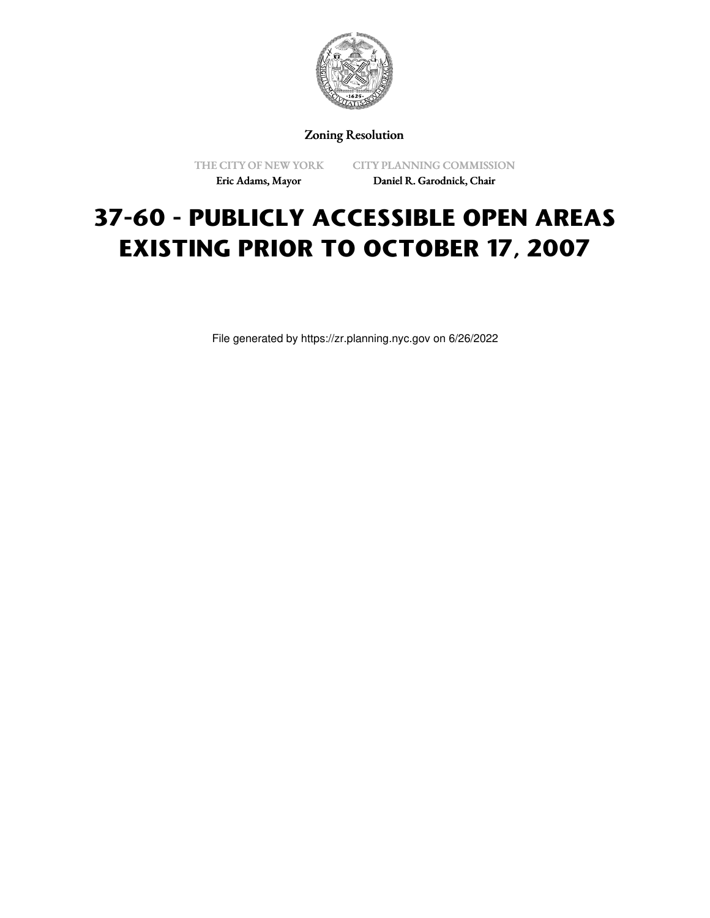

Zoning Resolution

THE CITY OF NEW YORK Eric Adams, Mayor

CITY PLANNING COMMISSION Daniel R. Garodnick, Chair

# **37-60 - PUBLICLY ACCESSIBLE OPEN AREAS EXISTING PRIOR TO OCTOBER 17, 2007**

File generated by https://zr.planning.nyc.gov on 6/26/2022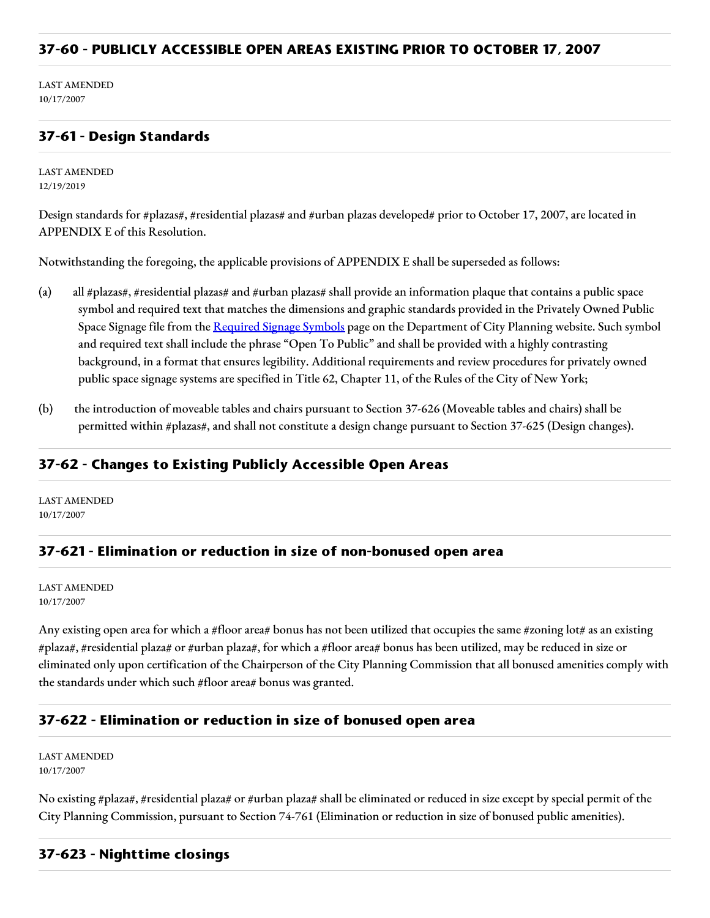### **37-60 - PUBLICLY ACCESSIBLE OPEN AREAS EXISTING PRIOR TO OCTOBER 17, 2007**

LAST AMENDED 10/17/2007

# **37-61 - Design Standards**

LAST AMENDED 12/19/2019

Design standards for #plazas#, #residential plazas# and #urban plazas developed# prior to October 17, 2007, are located in APPENDIX E of this Resolution.

Notwithstanding the foregoing, the applicable provisions of APPENDIX E shall be superseded as follows:

- (a) all #plazas#, #residential plazas# and #urban plazas# shall provide an information plaque that contains a public space symbol and required text that matches the dimensions and graphic standards provided in the Privately Owned Public Space Signage file from the [Required](https://www1.nyc.gov/site/planning/zoning/graphic-files.page) Signage Symbols page on the Department of City Planning website. Such symbol and required text shall include the phrase "Open To Public" and shall be provided with a highly contrasting background, in a format that ensures legibility. Additional requirements and review procedures for privately owned public space signage systems are specified in Title 62, Chapter 11, of the Rules of the City of New York;
- (b) the introduction of moveable tables and chairs pursuant to Section 37-626 (Moveable tables and chairs) shall be permitted within #plazas#, and shall not constitute a design change pursuant to Section 37-625 (Design changes).

## **37-62 - Changes to Existing Publicly Accessible Open Areas**

LAST AMENDED 10/17/2007

## **37-621 - Elimination or reduction in size of non-bonused open area**

LAST AMENDED 10/17/2007

Any existing open area for which a #floor area# bonus has not been utilized that occupies the same #zoning lot# as an existing #plaza#, #residential plaza# or #urban plaza#, for which a #floor area# bonus has been utilized, may be reduced in size or eliminated only upon certification of the Chairperson of the City Planning Commission that all bonused amenities comply with the standards under which such #floor area# bonus was granted.

#### **37-622 - Elimination or reduction in size of bonused open area**

LAST AMENDED 10/17/2007

No existing #plaza#, #residential plaza# or #urban plaza# shall be eliminated or reduced in size except by special permit of the City Planning Commission, pursuant to Section 74-761 (Elimination or reduction in size of bonused public amenities).

## **37-623 - Nighttime closings**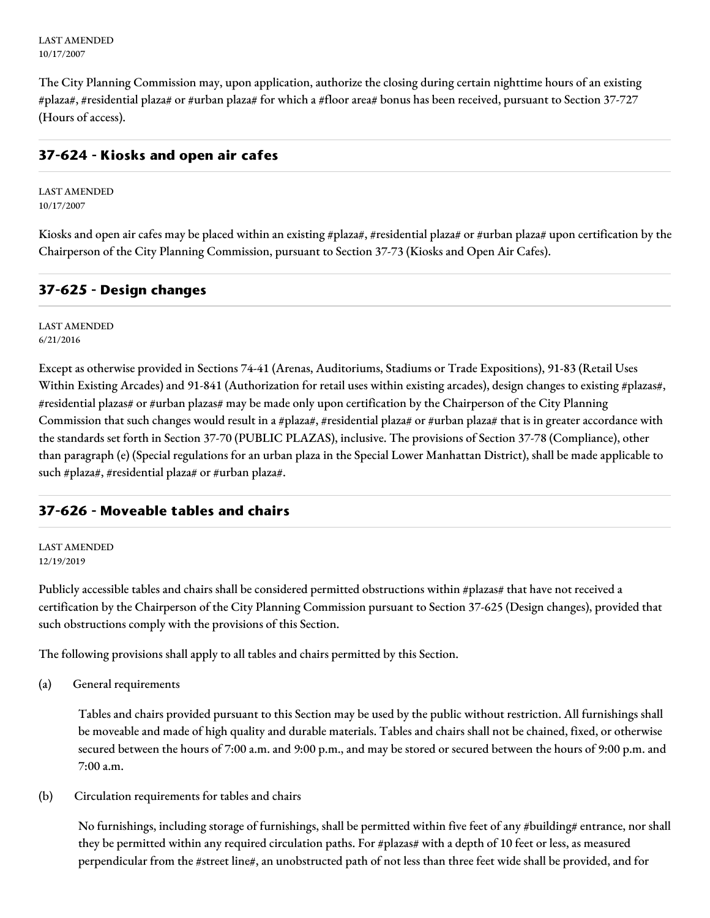LAST AMENDED 10/17/2007

The City Planning Commission may, upon application, authorize the closing during certain nighttime hours of an existing #plaza#, #residential plaza# or #urban plaza# for which a #floor area# bonus has been received, pursuant to Section 37-727 (Hours of access).

## **37-624 - Kiosks and open air cafes**

LAST AMENDED 10/17/2007

Kiosks and open air cafes may be placed within an existing #plaza#, #residential plaza# or #urban plaza# upon certification by the Chairperson of the City Planning Commission, pursuant to Section 37-73 (Kiosks and Open Air Cafes).

# **37-625 - Design changes**

LAST AMENDED 6/21/2016

Except as otherwise provided in Sections 74-41 (Arenas, Auditoriums, Stadiums or Trade Expositions), 91-83 (Retail Uses Within Existing Arcades) and 91-841 (Authorization for retail uses within existing arcades), design changes to existing #plazas#, #residential plazas# or #urban plazas# may be made only upon certification by the Chairperson of the City Planning Commission that such changes would result in a #plaza#, #residential plaza# or #urban plaza# that is in greater accordance with the standards set forth in Section 37-70 (PUBLIC PLAZAS), inclusive. The provisions of Section 37-78 (Compliance), other than paragraph (e) (Special regulations for an urban plaza in the Special Lower Manhattan District), shall be made applicable to such #plaza#, #residential plaza# or #urban plaza#.

## **37-626 - Moveable tables and chairs**

LAST AMENDED 12/19/2019

Publicly accessible tables and chairs shall be considered permitted obstructions within #plazas# that have not received a certification by the Chairperson of the City Planning Commission pursuant to Section 37-625 (Design changes), provided that such obstructions comply with the provisions of this Section.

The following provisions shall apply to all tables and chairs permitted by this Section.

(a) General requirements

Tables and chairs provided pursuant to this Section may be used by the public without restriction. All furnishings shall be moveable and made of high quality and durable materials. Tables and chairs shall not be chained, fixed, or otherwise secured between the hours of 7:00 a.m. and 9:00 p.m., and may be stored or secured between the hours of 9:00 p.m. and 7:00 a.m.

(b) Circulation requirements for tables and chairs

No furnishings, including storage of furnishings, shall be permitted within five feet of any #building# entrance, nor shall they be permitted within any required circulation paths. For #plazas# with a depth of 10 feet or less, as measured perpendicular from the #street line#, an unobstructed path of not less than three feet wide shall be provided, and for